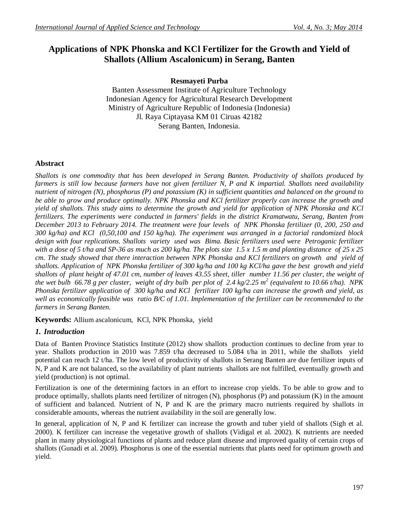# **Applications of NPK Phonska and KCl Fertilizer for the Growth and Yield of Shallots (Allium Ascalonicum) in Serang, Banten**

## **Resmayeti Purba**

Banten Assessment Institute of Agriculture Technology Indonesian Agency for Agricultural Research Development Ministry of Agriculture Republic of Indonesia (Indonesia) Jl. Raya Ciptayasa KM 01 Ciruas 42182 Serang Banten, Indonesia.

### **Abstract**

*Shallots is one commodity that has been developed in Serang Banten. Productivity of shallots produced by farmers is still low because farmers have not given fertilizer N, P and K impartial. Shallots need availability nutrient of nitrogen (N), phosphorus (P) and potassium (K) in sufficient quantities and balanced on the ground to be able to grow and produce optimally. NPK Phonska and KCl fertilizer properly can increase the growth and yield of shallots. This study aims to determine the growth and yield for application of NPK Phonska and KCl fertilizers. The experiments were conducted in farmers' fields in the district Kramatwatu, Serang, Banten from December 2013 to February 2014. The treatment were four levels of NPK Phonska fertilizer (0, 200, 250 and 300 kg/ha) and KCl (0,50,100 and 150 kg/ha). The experiment was arranged in a factorial randomized block design with four replications. Shallots variety used was Bima. Basic fertilizers used were Petroganic fertilizer with a dose of 5 t/ha and SP-36 as much as 200 kg/ha. The plots size 1.5 x 1.5 m and planting distance of 25 x 25 cm. The study showed that there interaction between NPK Phonska and KCl fertilizers on growth and yield of shallots. Application of NPK Phonska fertilizer of 300 kg/ha and 100 kg KCl/ha gave the best growth and yield shallots of plant height of 47.01 cm, number of leaves 43.55 sheet, tiller number 11.56 per cluster, the weight of the wet bulb 66.78 g per cluster, weight of dry bulb per plot of 2.4 kg/2.25 m<sup>2</sup> (equivalent to 10.66 t/ha). NPK Phonska fertilizer application of 300 kg/ha and KCl fertilizer 100 kg/ha can increase the growth and yield, as well as economically feasible was ratio B/C of 1.01. Implementation of the fertilizer can be recommended to the farmers in Serang Banten.*

**Keywords:** Allium ascalonicum*,* KCl, NPK Phonska, yield

#### *1. Introduction*

Data of Banten Province Statistics Institute (2012) show shallots production continues to decline from year to year. Shallots production in 2010 was 7.859 t/ha decreased to 5.084 t/ha in 2011, while the shallots yield potential can reach 12 t/ha. The low level of productivity of shallots in Serang Banten are due fertilizer inputs of N, P and K are not balanced, so the availability of plant nutrients shallots are not fulfilled, eventually growth and yield (production) is not optimal.

Fertilization is one of the determining factors in an effort to increase crop yields. To be able to grow and to produce optimally, shallots plants need fertilizer of nitrogen (N), phosphorus (P) and potassium (K) in the amount of sufficient and balanced. Nutrient of N, P and K are the primary macro nutrients required by shallots in considerable amounts, whereas the nutrient availability in the soil are generally low.

In general, application of N, P and K fertilizer can increase the growth and tuber yield of shallots (Sigh et al. 2000). K fertilizer can increase the vegetative growth of shallots (Vidigal et al. 2002). K nutrients are needed plant in many physiological functions of plants and reduce plant disease and improved quality of certain crops of shallots (Gunadi et al. 2009). Phosphorus is one of the essential nutrients that plants need for optimum growth and yield.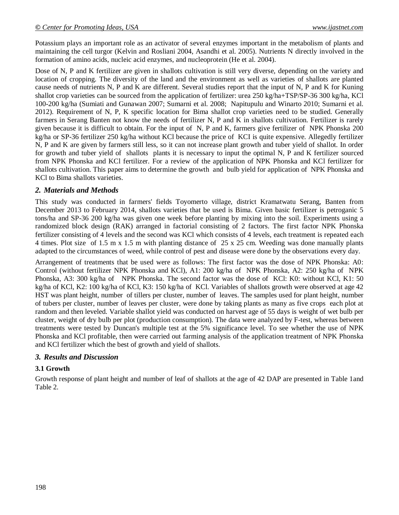Potassium plays an important role as an activator of several enzymes important in the metabolism of plants and maintaining the cell turgor (Kelvin and Rosliani 2004, Asandhi et al. 2005). Nutrients N directly involved in the formation of amino acids, nucleic acid enzymes, and nucleoprotein (He et al. 2004).

Dose of N, P and K fertilizer are given in shallots cultivation is still very diverse, depending on the variety and location of cropping. The diversity of the land and the environment as well as varieties of shallots are planted cause needs of nutrients N, P and K are different. Several studies report that the input of N, P and K for Kuning shallot crop varieties can be sourced from the application of fertilizer: urea 250 kg/ha+TSP/SP-36 300 kg/ha, KCl 100-200 kg/ha (Sumiati and Gunawan 2007; Sumarni et al. 2008; Napitupulu and Winarto 2010; Sumarni et al. 2012). Requirement of N, P, K specific location for Bima shallot crop varieties need to be studied. Generally farmers in Serang Banten not know the needs of fertilizer N, P and K in shallots cultivation. Fertilizer is rarely given because it is difficult to obtain. For the input of N, P and K, farmers give fertilizer of NPK Phonska 200 kg/ha or SP-36 fertilizer 250 kg/ha without KCl because the price of KCI is quite expensive. Allegedly fertilizer N, P and K are given by farmers still less, so it can not increase plant growth and tuber yield of shallot. In order for growth and tuber yield of shallots plants it is necessary to input the optimal N, P and K fertilizer sourced from NPK Phonska and KCl fertilizer. For a review of the application of NPK Phonska and KCl fertilizer for shallots cultivation. This paper aims to determine the growth and bulb yield for application of NPK Phonska and KCl to Bima shallots varieties.

## *2. Materials and Methods*

This study was conducted in farmers' fields Toyomerto village, district Kramatwatu Serang, Banten from December 2013 to February 2014, shallots varieties that be used is Bima. Given basic fertilizer is petroganic 5 tons/ha and SP-36 200 kg/ha was given one week before planting by mixing into the soil. Experiments using a randomized block design (RAK) arranged in factorial consisting of 2 factors. The first factor NPK Phonska fertilizer consisting of 4 levels and the second was KCl which consists of 4 levels, each treatment is repeated each 4 times. Plot size of 1.5 m x 1.5 m with planting distance of 25 x 25 cm. Weeding was done manually plants adapted to the circumstances of weed, while control of pest and disease were done by the observations every day.

Arrangement of treatments that be used were as follows: The first factor was the dose of NPK Phonska: A0: Control (without fertilizer NPK Phonska and KCl), A1: 200 kg/ha of NPK Phonska, A2: 250 kg/ha of NPK Phonska, A3: 300 kg/ha of NPK Phonska. The second factor was the dose of KCl: K0: without KCl, K1: 50 kg/ha of KCl, K2: 100 kg/ha of KCl, K3: 150 kg/ha of KCl. Variables of shallots growth were observed at age 42 HST was plant height, number of tillers per cluster, number of leaves. The samples used for plant height, number of tubers per cluster, number of leaves per cluster, were done by taking plants as many as five crops each plot at random and then leveled. Variable shallot yield was conducted on harvest age of 55 days is weight of wet bulb per cluster, weight of dry bulb per plot (production consumption). The data were analyzed by F-test, whereas between treatments were tested by Duncan's multiple test at the 5% significance level. To see whether the use of NPK Phonska and KCl profitable, then were carried out farming analysis of the application treatment of NPK Phonska and KCl fertilizer which the best of growth and yield of shallots.

#### *3. Results and Discussion*

#### **3.1 Growth**

Growth response of plant height and number of leaf of shallots at the age of 42 DAP are presented in Table 1and Table 2.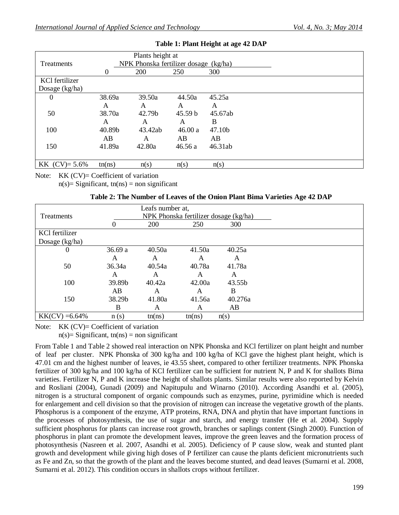| Treatments       |          | Plants height at<br>NPK Phonska fertilizer dosage (kg/ha) |         |         |  |
|------------------|----------|-----------------------------------------------------------|---------|---------|--|
|                  | $\theta$ | 200                                                       | 250     | 300     |  |
| KCl fertilizer   |          |                                                           |         |         |  |
| Dosage $(kg/ha)$ |          |                                                           |         |         |  |
| $\Omega$         | 38.69a   | 39.50a                                                    | 44.50a  | 45.25a  |  |
|                  | A        | A                                                         | A       | A       |  |
| 50               | 38.70a   | 42.79b                                                    | 45.59 b | 45.67ab |  |
|                  | A        | A                                                         | A       | B       |  |
| 100              | 40.89b   | 43.42ab                                                   | 46.00a  | 47.10b  |  |
|                  | AB       | A                                                         | AB      | AB      |  |
| 150              | 41.89a   | 42.80a                                                    | 46.56 a | 46.31ab |  |
|                  |          |                                                           |         |         |  |
| $KK$ (CV)= 5.6%  | tn(ns)   | n(s)                                                      | n(s)    | n(s)    |  |

#### **Table 1: Plant Height at age 42 DAP**

Note: KK (CV)= Coefficient of variation

 $n(s)$ = Significant, tn(ns) = non significant

|  |  |  |  |  |  |  |  | Table 2: The Number of Leaves of the Onion Plant Bima Varieties Age 42 DAP |  |  |  |
|--|--|--|--|--|--|--|--|----------------------------------------------------------------------------|--|--|--|
|--|--|--|--|--|--|--|--|----------------------------------------------------------------------------|--|--|--|

|                   | Leafs number at, |                                              |        |         |  |  |  |
|-------------------|------------------|----------------------------------------------|--------|---------|--|--|--|
| Treatments        |                  | <u>NPK Phonska fertilizer dosage (kg/ha)</u> |        |         |  |  |  |
|                   |                  | 200                                          | 250    | 300     |  |  |  |
| KCl fertilizer    |                  |                                              |        |         |  |  |  |
| Dosage $(kg/ha)$  |                  |                                              |        |         |  |  |  |
| 0                 | 36.69a           | 40.50a                                       | 41.50a | 40.25a  |  |  |  |
|                   | A                | A                                            | A      | A       |  |  |  |
| 50                | 36.34a           | 40.54a                                       | 40.78a | 41.78a  |  |  |  |
|                   | A                | A                                            | A      | A       |  |  |  |
| 100               | 39.89b           | 40.42a                                       | 42.00a | 43.55b  |  |  |  |
|                   | AB               | A                                            | A      | B       |  |  |  |
| 150               | 38.29b           | 41.80a                                       | 41.56a | 40.276a |  |  |  |
|                   | B                | A                                            | A      | AB      |  |  |  |
| $KK(CV) = 6.64\%$ | n(s)             | tn(ns)                                       | tn(ns) | n(s)    |  |  |  |

Note: KK (CV)= Coefficient of variation

 $n(s)$ = Significant, tn(ns) = non significant

From Table 1 and Table 2 showed real interaction on NPK Phonska and KCl fertilizer on plant height and number of leaf per cluster. NPK Phonska of 300 kg/ha and 100 kg/ha of KCl gave the highest plant height, which is 47.01 cm and the highest number of leaves, ie 43.55 sheet, compared to other fertilizer treatments. NPK Phonska fertilizer of 300 kg/ha and 100 kg/ha of KCl fertilizer can be sufficient for nutrient N, P and K for shallots Bima varieties. Fertilizer N, P and K increase the height of shallots plants. Similar results were also reported by Kelvin and Rosliani (2004), Gunadi (2009) and Napitupulu and Winarno (2010). According Asandhi et al. (2005), nitrogen is a structural component of organic compounds such as enzymes, purine, pyrimidine which is needed for enlargement and cell division so that the provision of nitrogen can increase the vegetative growth of the plants. Phosphorus is a component of the enzyme, ATP proteins, RNA, DNA and phytin that have important functions in the processes of photosynthesis, the use of sugar and starch, and energy transfer (He et al. 2004). Supply sufficient phosphorus for plants can increase root growth, branches or saplings content (Singh 2000). Function of phosphorus in plant can promote the development leaves, improve the green leaves and the formation process of photosynthesis (Nasreen et al. 2007, Asandhi et al. 2005). Deficiency of P cause slow, weak and stunted plant growth and development while giving high doses of P fertilizer can cause the plants deficient micronutrients such as Fe and Zn, so that the growth of the plant and the leaves become stunted, and dead leaves (Sumarni et al. 2008, Sumarni et al. 2012). This condition occurs in shallots crops without fertilizer.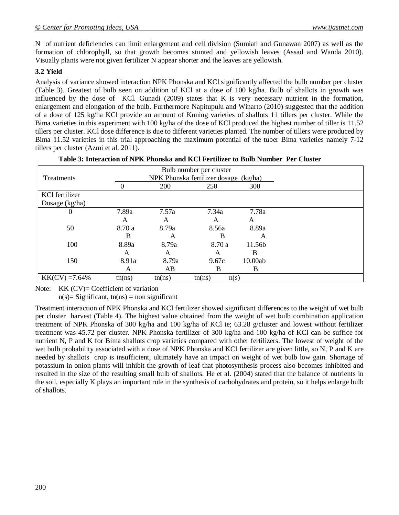N of nutrient deficiencies can limit enlargement and cell division (Sumiati and Gunawan 2007) as well as the formation of chlorophyll, so that growth becomes stunted and yellowish leaves (Assad and Wanda 2010). Visually plants were not given fertilizer N appear shorter and the leaves are yellowish.

## **3.2 Yield**

Analysis of variance showed interaction NPK Phonska and KCl significantly affected the bulb number per cluster (Table 3). Greatest of bulb seen on addition of KCl at a dose of 100 kg/ha. Bulb of shallots in growth was influenced by the dose of KCl. Gunadi (2009) states that K is very necessary nutrient in the formation, enlargement and elongation of the bulb. Furthermore Napitupulu and Winarto (2010) suggested that the addition of a dose of 125 kg/ha KCl provide an amount of Kuning varieties of shallots 11 tillers per cluster. While the Bima varieties in this experiment with 100 kg/ha of the dose of KCl produced the highest number of tiller is 11.52 tillers per cluster. KCl dose difference is due to different varieties planted. The number of tillers were produced by Bima 11.52 varieties in this trial approaching the maximum potential of the tuber Bima varieties namely 7-12 tillers per cluster (Azmi et al. 2011).

| Treatments        | Bulb number per cluster<br>NPK Phonska fertilizer dosage (kg/ha) |        |                |         |  |  |
|-------------------|------------------------------------------------------------------|--------|----------------|---------|--|--|
|                   | $\Omega$                                                         | 200    | 250            | 300     |  |  |
| KCl fertilizer    |                                                                  |        |                |         |  |  |
| Dosage $(kg/ha)$  |                                                                  |        |                |         |  |  |
| 0                 | 7.89a                                                            | 7.57a  | 7.34a          | 7.78a   |  |  |
|                   | A                                                                | A      | A              | A       |  |  |
| 50                | 8.70a                                                            | 8.79a  | 8.56a          | 8.89a   |  |  |
|                   | B                                                                | A      | B              | A       |  |  |
| 100               | 8.89a                                                            | 8.79a  | 8.70 a         | 11.56b  |  |  |
|                   | A                                                                | A      | A              | B       |  |  |
| 150               | 8.91a                                                            | 8.79a  | 9.67c          | 10.00ab |  |  |
|                   | A                                                                | AB     | B              | B       |  |  |
| $KK(CV) = 7.64\%$ | tn(ns)                                                           | tn(ns) | tn(ns)<br>n(s) |         |  |  |

| Table 3: Interaction of NPK Phonska and KCl Fertilizer to Bulb Number Per Cluster |  |  |  |
|-----------------------------------------------------------------------------------|--|--|--|
|-----------------------------------------------------------------------------------|--|--|--|

Note: KK (CV)= Coefficient of variation

 $n(s)$ = Significant, tn(ns) = non significant

Treatment interaction of NPK Phonska and KCl fertilizer showed significant differences to the weight of wet bulb per cluster harvest (Table 4). The highest value obtained from the weight of wet bulb combination application treatment of NPK Phonska of 300 kg/ha and 100 kg/ha of KCl ie; 63.28 g/cluster and lowest without fertilizer treatment was 45.72 per cluster. NPK Phonska fertilizer of 300 kg/ha and 100 kg/ha of KCl can be suffice for nutrient N, P and K for Bima shallots crop varieties compared with other fertilizers. The lowest of weight of the wet bulb probability associated with a dose of NPK Phonska and KCl fertilizer are given little, so N, P and K are needed by shallots crop is insufficient, ultimately have an impact on weight of wet bulb low gain. Shortage of potassium in onion plants will inhibit the growth of leaf that photosynthesis process also becomes inhibited and resulted in the size of the resulting small bulb of shallots. He et al. (2004) stated that the balance of nutrients in the soil, especially K plays an important role in the synthesis of carbohydrates and protein, so it helps enlarge bulb of shallots.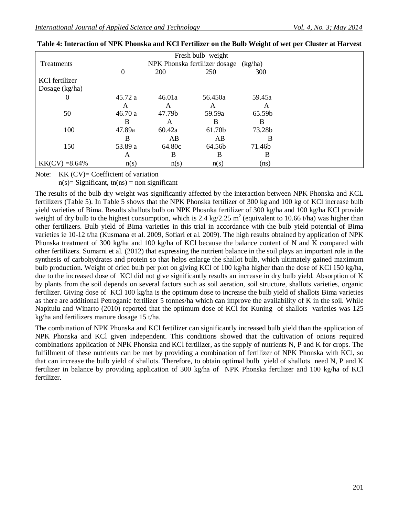|                   |          |            | Fresh bulb weight                     |        |  |
|-------------------|----------|------------|---------------------------------------|--------|--|
| Treatments        |          |            | NPK Phonska fertilizer dosage (kg/ha) |        |  |
|                   | $\Omega$ | <b>200</b> | 250                                   | 300    |  |
| KCl fertilizer    |          |            |                                       |        |  |
| Dosage $(kg/ha)$  |          |            |                                       |        |  |
| $\theta$          | 45.72a   | 46.01a     | 56.450a                               | 59.45a |  |
|                   | A        | A          | A                                     | A      |  |
| 50                | 46.70a   | 47.79b     | 59.59a                                | 65.59b |  |
|                   | B        | A          | В                                     | B      |  |
| 100               | 47.89a   | 60.42a     | 61.70b                                | 73.28b |  |
|                   | B        | AB         | AB                                    | B      |  |
| 150               | 53.89 a  | 64.80c     | 64.56b                                | 71.46b |  |
|                   | A        | B          | B                                     | B      |  |
| $KK(CV) = 8.64\%$ | n(s)     | n(s)       | n(s)                                  | (ns)   |  |

| Table 4: Interaction of NPK Phonska and KCl Fertilizer on the Bulb Weight of wet per Cluster at Harvest |  |
|---------------------------------------------------------------------------------------------------------|--|
|---------------------------------------------------------------------------------------------------------|--|

Note: KK (CV)= Coefficient of variation

 $n(s)$ = Significant, tn(ns) = non significant

The results of the bulb dry weight was significantly affected by the interaction between NPK Phonska and KCL fertilizers (Table 5). In Table 5 shows that the NPK Phonska fertilizer of 300 kg and 100 kg of KCl increase bulb yield varieties of Bima. Results shallots bulb on NPK Phosnka fertilizer of 300 kg/ha and 100 kg/ha KCl provide weight of dry bulb to the highest consumption, which is 2.4 kg/2.25 m<sup>2</sup> (equivalent to 10.66 t/ha) was higher than other fertilizers. Bulb yield of Bima varieties in this trial in accordance with the bulb yield potential of Bima varieties ie 10-12 t/ha (Kusmana et al. 2009, Sofiari et al. 2009). The high results obtained by application of NPK Phonska treatment of 300 kg/ha and 100 kg/ha of KCl because the balance content of N and K compared with other fertilizers. Sumarni et al. (2012) that expressing the nutrient balance in the soil plays an important role in the synthesis of carbohydrates and protein so that helps enlarge the shallot bulb, which ultimately gained maximum bulb production. Weight of dried bulb per plot on giving KCl of 100 kg/ha higher than the dose of KCl 150 kg/ha, due to the increased dose of KCl did not give significantly results an increase in dry bulb yield. Absorption of K by plants from the soil depends on several factors such as soil aeration, soil structure, shallots varieties, organic fertilizer. Giving dose of KCl 100 kg/ha is the optimum dose to increase the bulb yield of shallots Bima varieties as there are additional Petroganic fertilizer 5 tonnes/ha which can improve the availability of K in the soil. While Napitulu and Winarto (2010) reported that the optimum dose of KCl for Kuning of shallots varieties was 125 kg/ha and fertilizers manure dosage 15 t/ha.

The combination of NPK Phonska and KCl fertilizer can significantly increased bulb yield than the application of NPK Phonska and KCl given independent. This conditions showed that the cultivation of onions required combinations application of NPK Phonska and KCl fertilizer, as the supply of nutrients N, P and K for crops. The fulfillment of these nutrients can be met by providing a combination of fertilizer of NPK Phonska with KCl, so that can increase the bulb yield of shallots. Therefore, to obtain optimal bulb yield of shallots need N, P and K fertilizer in balance by providing application of 300 kg/ha of NPK Phonska fertilizer and 100 kg/ha of KCl fertilizer.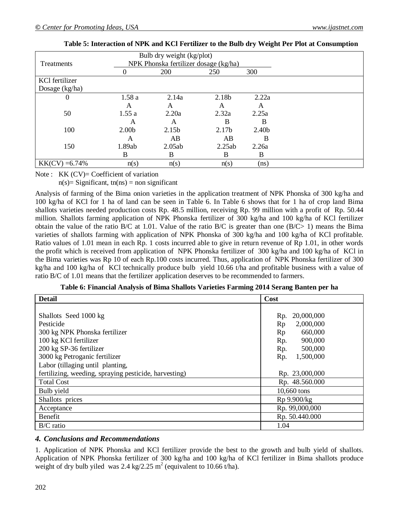|                   |                   | Bulb dry weight (kg/plot)             |        |                   |  |
|-------------------|-------------------|---------------------------------------|--------|-------------------|--|
| Treatments        |                   | NPK Phonska fertilizer dosage (kg/ha) |        |                   |  |
|                   | $\theta$          | 200                                   | 250    | 300               |  |
| KCl fertilizer    |                   |                                       |        |                   |  |
| Dosage $(kg/ha)$  |                   |                                       |        |                   |  |
| 0                 | 1.58a             | 2.14a                                 | 2.18b  | 2.22a             |  |
|                   | A                 | A                                     | A      | А                 |  |
| 50                | 1.55a             | 2.20a                                 | 2.32a  | 2.25a             |  |
|                   | A                 | A                                     | B      | B                 |  |
| 100               | 2.00 <sub>b</sub> | 2.15b                                 | 2.17b  | 2.40 <sub>b</sub> |  |
|                   | A                 | AB                                    | AB     | B                 |  |
| 150               | 1.89ab            | 2.05ab                                | 2.25ab | 2.26a             |  |
|                   | B                 | B                                     | B      | B                 |  |
| $KK(CV) = 6.74\%$ | n(s)              | n(s)                                  | n(s)   | (ns)              |  |

| Table 5: Interaction of NPK and KCl Fertilizer to the Bulb dry Weight Per Plot at Consumption |  |  |
|-----------------------------------------------------------------------------------------------|--|--|
|                                                                                               |  |  |

Note : KK (CV)= Coefficient of variation

 $n(s)$ = Significant, tn(ns) = non significant

Analysis of farming of the Bima onion varieties in the application treatment of NPK Phonska of 300 kg/ha and 100 kg/ha of KCl for 1 ha of land can be seen in Table 6. In Table 6 shows that for 1 ha of crop land Bima shallots varieties needed production costs Rp. 48.5 million, receiving Rp. 99 million with a profit of Rp. 50.44 million. Shallots farming application of NPK Phonska fertilizer of 300 kg/ha and 100 kg/ha of KCl fertilizer obtain the value of the ratio B/C at 1.01. Value of the ratio B/C is greater than one (B/C> 1) means the Bima varieties of shallots farming with application of NPK Phonska of 300 kg/ha and 100 kg/ha of KCl profitable. Ratio values of 1.01 mean in each Rp. 1 costs incurred able to give in return revenue of Rp 1.01, in other words the profit which is received from application of NPK Phonska fertilizer of 300 kg/ha and 100 kg/ha of KCl in the Bima varieties was Rp 10 of each Rp.100 costs incurred. Thus, application of NPK Phonska fertilizer of 300 kg/ha and 100 kg/ha of KCl technically produce bulb yield 10.66 t/ha and profitable business with a value of ratio B/C of 1.01 means that the fertilizer application deserves to be recommended to farmers.

| <b>Detail</b>                                         | Cost              |
|-------------------------------------------------------|-------------------|
|                                                       |                   |
| Shallots Seed 1000 kg                                 | 20,000,000<br>Rp. |
| Pesticide                                             | Rp<br>2,000,000   |
| 300 kg NPK Phonska fertilizer                         | Rp<br>660,000     |
| 100 kg KCl fertilizer                                 | Rp.<br>900,000    |
| 200 kg SP-36 fertilizer                               | 500,000<br>Rp.    |
| 3000 kg Petroganic fertilizer                         | 1,500,000<br>Rp.  |
| Labor (tillaging until planting,                      |                   |
| fertilizing, weeding, spraying pesticide, harvesting) | Rp. 23,000,000    |
| <b>Total Cost</b>                                     | Rp. 48.560.000    |
| Bulb yield                                            | 10,660 tons       |
| Shallots prices                                       | Rp 9.900/kg       |
| Acceptance                                            | Rp. 99,000,000    |
| <b>Benefit</b>                                        | Rp. 50.440.000    |
| $B/C$ ratio                                           | 1.04              |

#### *4. Conclusions and Recommendations*

1. Application of NPK Phonska and KCl fertilizer provide the best to the growth and bulb yield of shallots. Application of NPK Phonska fertilizer of 300 kg/ha and 100 kg/ha of KCl fertilizer in Bima shallots produce weight of dry bulb yiled was 2.4 kg/2.25  $m^2$  (equivalent to 10.66 t/ha).